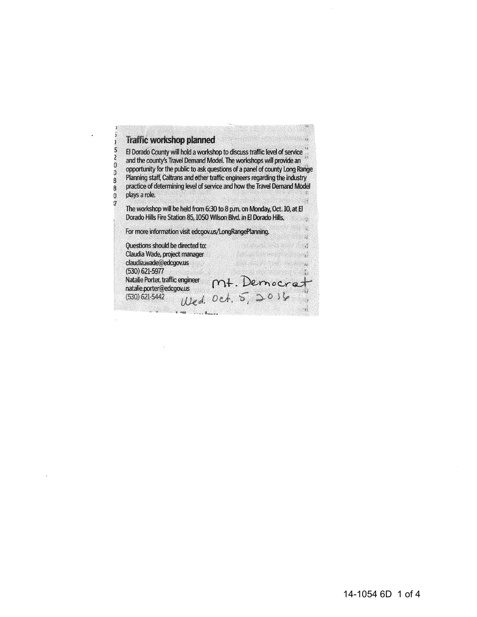## **Traffic workshop planned**

5

Ž

 $\overline{0}$ 

Ó

8

8

Ö  $\boldsymbol{7}$  El Dorado County will hold a workshop to discuss traffic level of service . and the county's Travel Demand Model. The workshops will provide an opportunity for the public to ask questions of a panel of county Long Range Planning staff, Caltrans and other traffic engineers regarding the industry practice of determining level of service and how the Travel Demand Model plays a role.

The workshop will be held from 6:30 to 8 p.m. on Monday, Oct. 10, at El Dorado Hills Fire Station 85, 1050 Wilson Blvd. in El Dorado Hills.

For more information visit edcgov.us/LongRangePlanning.

Questions should be directed to: Claudia Wade, project manager an san a claudia.wade@edcgov.us  $(530) 621 - 5977$ Natalie Porter, traffic engineer Mt. Democrat natalie.porter@edcgov.us Wed. Oct. 5, 2014  $(530)$  621-5442 **188 . . . . . Russel**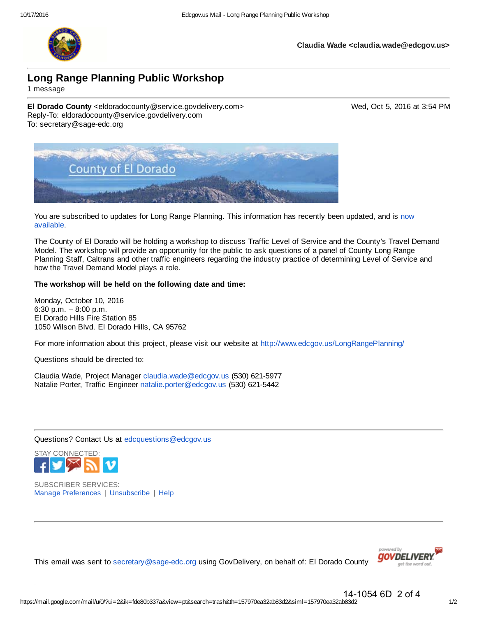

**Claudia Wade <claudia.wade@edcgov.us>**

# **Long Range Planning Public Workshop**

1 message

**El Dorado County** <eldoradocounty@service.govdelivery.com> Wed, Oct 5, 2016 at 3:54 PM Reply-To: eldoradocounty@service.govdelivery.com To: secretary@sage-edc.org



You are subscribed to updates for Long Range Planning. This information has recently been updated, and is now available.

The County of El Dorado will be holding a workshop to discuss Traffic Level of Service and the County's Travel Demand Model. The workshop will provide an opportunity for the public to ask questions of a panel of County Long Range Planning Staff, Caltrans and other traffic engineers regarding the industry practice of determining Level of Service and how the Travel Demand Model plays a role.

#### **The workshop will be held on the following date and time:**

Monday, October 10, 2016 6:30 p.m. – 8:00 p.m. El Dorado Hills Fire Station 85 1050 Wilson Blvd. El Dorado Hills, CA 95762

For more information about this project, please visit our website at http://www.edcgov.us/LongRangePlanning/

Questions should be directed to:

Claudia Wade, Project Manager claudia.wade@edcgov.us (530) 621-5977 Natalie Porter, Traffic Engineer natalie.porter@edcgov.us (530) 621-5442

Questions? Contact Us at edcquestions@edcgov.us



SUBSCRIBER SERVICES: Manage Preferences | Unsubscribe | Help





14-1054 6D 2 of 4